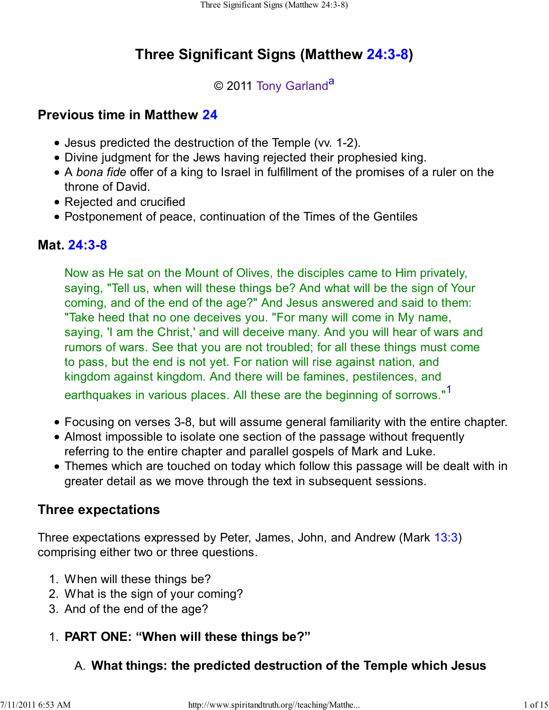# **Three Significant Signs (Matthew 24:3-8)**

## © 2011 Tony Garland<sup>a</sup>

# **Previous time in Matthew 24**

- Jesus predicted the destruction of the Temple (vv. 1-2).
- Divine judgment for the Jews having rejected their prophesied king.
- A *bona fide* offer of a king to Israel in fulfillment of the promises of a ruler on the throne of David.
- Rejected and crucified
- Postponement of peace, continuation of the Times of the Gentiles

# **Mat. 24:3-8**

Now as He sat on the Mount of Olives, the disciples came to Him privately, saying, "Tell us, when will these things be? And what will be the sign of Your coming, and of the end of the age?" And Jesus answered and said to them: "Take heed that no one deceives you. "For many will come in My name, saying, 'I am the Christ,' and will deceive many. And you will hear of wars and rumors of wars. See that you are not troubled; for all these things must come to pass, but the end is not yet. For nation will rise against nation, and kingdom against kingdom. And there will be famines, pestilences, and earthquakes in various places. All these are the beginning of sorrows."<sup>1</sup>

- Focusing on verses 3-8, but will assume general familiarity with the entire chapter.
- Almost impossible to isolate one section of the passage without frequently referring to the entire chapter and parallel gospels of Mark and Luke.
- Themes which are touched on today which follow this passage will be dealt with in greater detail as we move through the text in subsequent sessions.

# **Three expectations**

Three expectations expressed by Peter, James, John, and Andrew (Mark 13:3) comprising either two or three questions.

- 1. When will these things be?
- 2. What is the sign of your coming?
- 3. And of the end of the age?

# 1. **PART ONE: "When will these things be?"**

# A. **What things: the predicted destruction of the Temple which Jesus**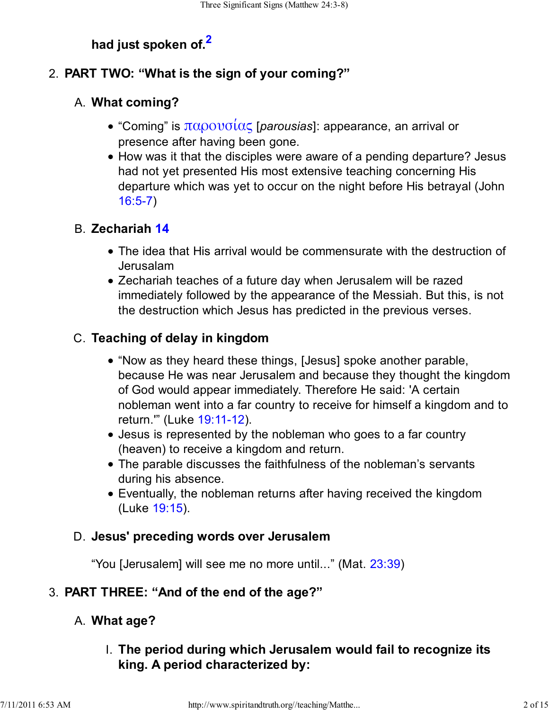# **had just spoken of.<sup>2</sup>**

### 2. **PART TWO: "What is the sign of your coming?"**

### **What coming?** A.

- "Coming" is παρουσίας [*parousias*]: appearance, an arrival or presence after having been gone.
- How was it that the disciples were aware of a pending departure? Jesus had not yet presented His most extensive teaching concerning His departure which was yet to occur on the night before His betrayal (John 16:5-7)

### **Zechariah 14** B.

- The idea that His arrival would be commensurate with the destruction of Jerusalam
- Zechariah teaches of a future day when Jerusalem will be razed immediately followed by the appearance of the Messiah. But this, is not the destruction which Jesus has predicted in the previous verses.

### **Teaching of delay in kingdom** C.

- "Now as they heard these things, [Jesus] spoke another parable, because He was near Jerusalem and because they thought the kingdom of God would appear immediately. Therefore He said: 'A certain nobleman went into a far country to receive for himself a kingdom and to return.'" (Luke 19:11-12).
- Jesus is represented by the nobleman who goes to a far country (heaven) to receive a kingdom and return.
- The parable discusses the faithfulness of the nobleman's servants during his absence.
- Eventually, the nobleman returns after having received the kingdom (Luke 19:15).

#### **Jesus' preceding words over Jerusalem** D.

"You [Jerusalem] will see me no more until..." (Mat. 23:39)

#### 3. **PART THREE: "And of the end of the age?"**

#### A. **What age?**

**The period during which Jerusalem would fail to recognize its** I. **king. A period characterized by:**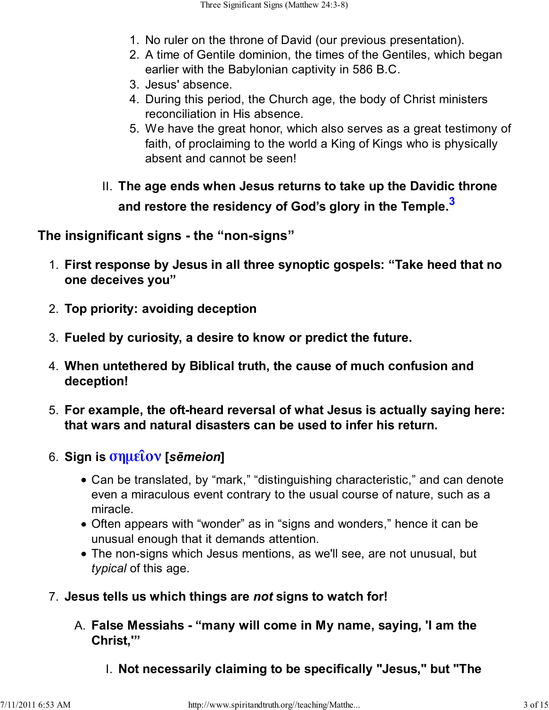- 1. No ruler on the throne of David (our previous presentation).
- A time of Gentile dominion, the times of the Gentiles, which began 2. earlier with the Babylonian captivity in 586 B.C.
- 3. Jesus' absence.
- 4. During this period, the Church age, the body of Christ ministers reconciliation in His absence.
- We have the great honor, which also serves as a great testimony of 5. faith, of proclaiming to the world a King of Kings who is physically absent and cannot be seen!
- **The age ends when Jesus returns to take up the Davidic throne** II. **and restore the residency of God's glory in the Temple.<sup>3</sup>**

**The insignificant signs - the "non-signs"**

- **First response by Jesus in all three synoptic gospels: "Take heed that no** 1. **one deceives you"**
- 2. **Top priority: avoiding deception**
- 3. **Fueled by curiosity, a desire to know or predict the future.**
- **When untethered by Biblical truth, the cause of much confusion and** 4. **deception!**
- **For example, the oft-heard reversal of what Jesus is actually saying here:** 5. **that wars and natural disasters can be used to infer his return.**
- **Sign is σηµεῖον [***sēmeion***]** 6.
	- Can be translated, by "mark," "distinguishing characteristic," and can denote even a miraculous event contrary to the usual course of nature, such as a miracle.
	- Often appears with "wonder" as in "signs and wonders," hence it can be unusual enough that it demands attention.
	- The non-signs which Jesus mentions, as we'll see, are not unusual, but *typical* of this age.
- 7. **Jesus tells us which things are** *not* **signs to watch for!**
	- **False Messiahs "many will come in My name, saying, 'I am the** A. **Christ,'"**
		- I. **Not necessarily claiming to be specifically "Jesus," but "The**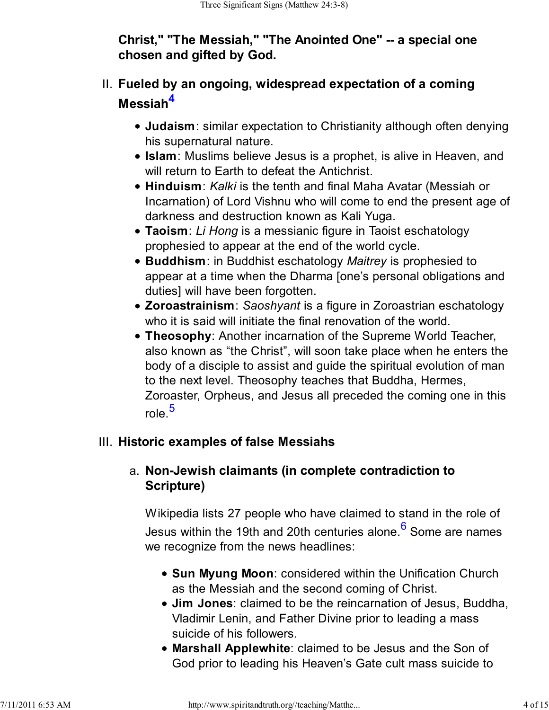## **Christ," "The Messiah," "The Anointed One" -- a special one chosen and gifted by God.**

# **Fueled by an ongoing, widespread expectation of a coming** II. **Messiah<sup>4</sup>**

- **Judaism**: similar expectation to Christianity although often denying his supernatural nature.
- **Islam**: Muslims believe Jesus is a prophet, is alive in Heaven, and will return to Earth to defeat the Antichrist.
- **Hinduism**: *Kalki* is the tenth and final Maha Avatar (Messiah or Incarnation) of Lord Vishnu who will come to end the present age of darkness and destruction known as Kali Yuga.
- **Taoism**: *Li Hong* is a messianic figure in Taoist eschatology prophesied to appear at the end of the world cycle.
- **Buddhism**: in Buddhist eschatology *Maitrey* is prophesied to appear at a time when the Dharma [one's personal obligations and duties] will have been forgotten.
- **Zoroastrainism**: *Saoshyant* is a figure in Zoroastrian eschatology who it is said will initiate the final renovation of the world.
- **Theosophy**: Another incarnation of the Supreme World Teacher, also known as "the Christ", will soon take place when he enters the body of a disciple to assist and guide the spiritual evolution of man to the next level. Theosophy teaches that Buddha, Hermes, Zoroaster, Orpheus, and Jesus all preceded the coming one in this role.<sup>5</sup>

# III. **Historic examples of false Messiahs**

# **Non-Jewish claimants (in complete contradiction to** a. **Scripture)**

Wikipedia lists 27 people who have claimed to stand in the role of Jesus within the 19th and 20th centuries alone.<sup>6</sup> Some are names we recognize from the news headlines:

- **Sun Myung Moon**: considered within the Unification Church as the Messiah and the second coming of Christ.
- **Jim Jones**: claimed to be the reincarnation of Jesus, Buddha, Vladimir Lenin, and Father Divine prior to leading a mass suicide of his followers.
- **Marshall Applewhite**: claimed to be Jesus and the Son of God prior to leading his Heaven's Gate cult mass suicide to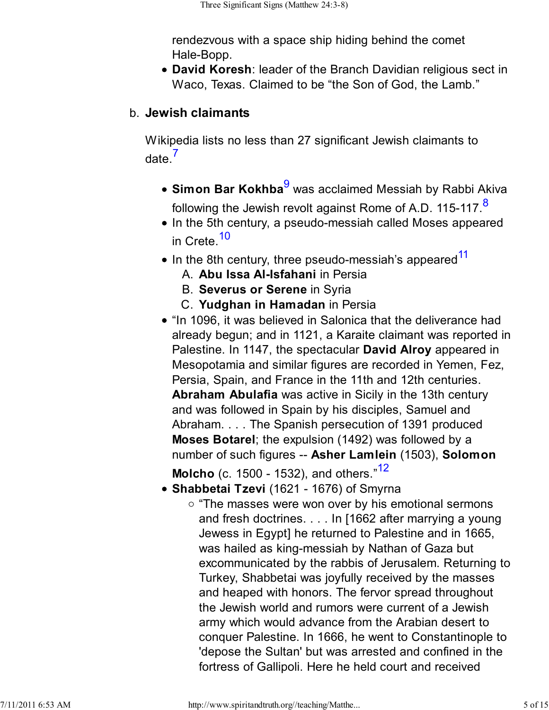rendezvous with a space ship hiding behind the comet Hale-Bopp.

**David Koresh**: leader of the Branch Davidian religious sect in Waco, Texas. Claimed to be "the Son of God, the Lamb."

### **Jewish claimants** b.

Wikipedia lists no less than 27 significant Jewish claimants to date $<sup>7</sup>$ </sup>

- **Simon Bar Kokhba**<sup>9</sup> was acclaimed Messiah by Rabbi Akiva following the Jewish revolt against Rome of A.D. 115-117.<sup>8</sup>
- In the 5th century, a pseudo-messiah called Moses appeared in Crete.<sup>10</sup>
- $\bullet$  In the 8th century, three pseudo-messiah's appeared<sup>11</sup>
	- A. **Abu Issa Al-Isfahani** in Persia
	- B. **Severus or Serene** in Syria
	- C. **Yudghan in Hamadan** in Persia
- "In 1096, it was believed in Salonica that the deliverance had already begun; and in 1121, a Karaite claimant was reported in Palestine. In 1147, the spectacular **David Alroy** appeared in Mesopotamia and similar figures are recorded in Yemen, Fez, Persia, Spain, and France in the 11th and 12th centuries. **Abraham Abulafia** was active in Sicily in the 13th century and was followed in Spain by his disciples, Samuel and Abraham. . . . The Spanish persecution of 1391 produced **Moses Botarel**; the expulsion (1492) was followed by a number of such figures -- **Asher Lamlein** (1503), **Solomon Molcho** (c. 1500 - 1532), and others.<sup>"12</sup>

**Shabbetai Tzevi** (1621 - 1676) of Smyrna

 $\circ$  "The masses were won over by his emotional sermons and fresh doctrines. . . . In [1662 after marrying a young Jewess in Egypt] he returned to Palestine and in 1665, was hailed as king-messiah by Nathan of Gaza but excommunicated by the rabbis of Jerusalem. Returning to Turkey, Shabbetai was joyfully received by the masses and heaped with honors. The fervor spread throughout the Jewish world and rumors were current of a Jewish army which would advance from the Arabian desert to conquer Palestine. In 1666, he went to Constantinople to 'depose the Sultan' but was arrested and confined in the fortress of Gallipoli. Here he held court and received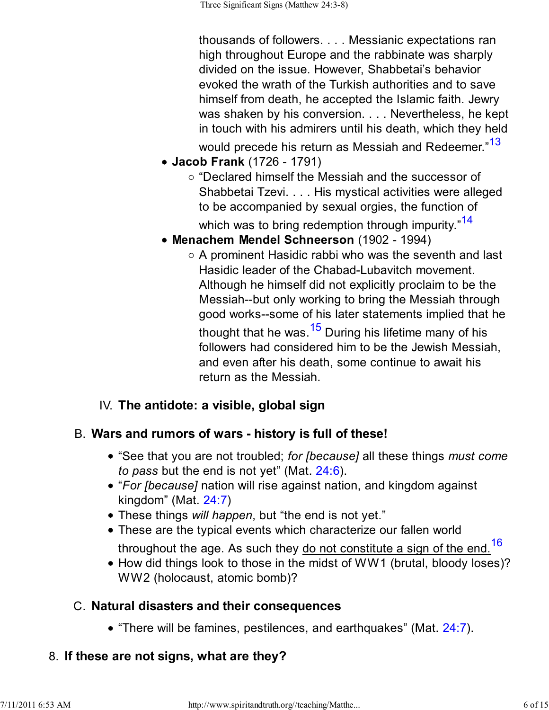thousands of followers. . . . Messianic expectations ran high throughout Europe and the rabbinate was sharply divided on the issue. However, Shabbetai's behavior evoked the wrath of the Turkish authorities and to save himself from death, he accepted the Islamic faith. Jewry was shaken by his conversion. . . . Nevertheless, he kept in touch with his admirers until his death, which they held would precede his return as Messiah and Redeemer."<sup>13</sup>

- **Jacob Frank** (1726 1791)
	- $\circ$  "Declared himself the Messiah and the successor of Shabbetai Tzevi. . . . His mystical activities were alleged to be accompanied by sexual orgies, the function of which was to bring redemption through impurity."<sup>14</sup>
- **Menachem Mendel Schneerson** (1902 1994)
	- $\circ$  A prominent Hasidic rabbi who was the seventh and last Hasidic leader of the Chabad-Lubavitch movement. Although he himself did not explicitly proclaim to be the Messiah--but only working to bring the Messiah through good works--some of his later statements implied that he thought that he was.  $15$  During his lifetime many of his followers had considered him to be the Jewish Messiah, and even after his death, some continue to await his return as the Messiah.

### IV. **The antidote: a visible, global sign**

#### **Wars and rumors of wars - history is full of these!** B.

- "See that you are not troubled; *for [because]* all these things *must come to pass* but the end is not yet" (Mat. 24:6).
- "*For [because]* nation will rise against nation, and kingdom against kingdom" (Mat. 24:7)
- These things *will happen*, but "the end is not yet."
- These are the typical events which characterize our fallen world

throughout the age. As such they  $\underline{do}$  not constitute a sign of the end.<sup>16</sup>

• How did things look to those in the midst of WW1 (brutal, bloody loses)? WW2 (holocaust, atomic bomb)?

#### **Natural disasters and their consequences** C.

• "There will be famines, pestilences, and earthquakes" (Mat. 24:7).

#### 8. **If these are not signs, what are they?**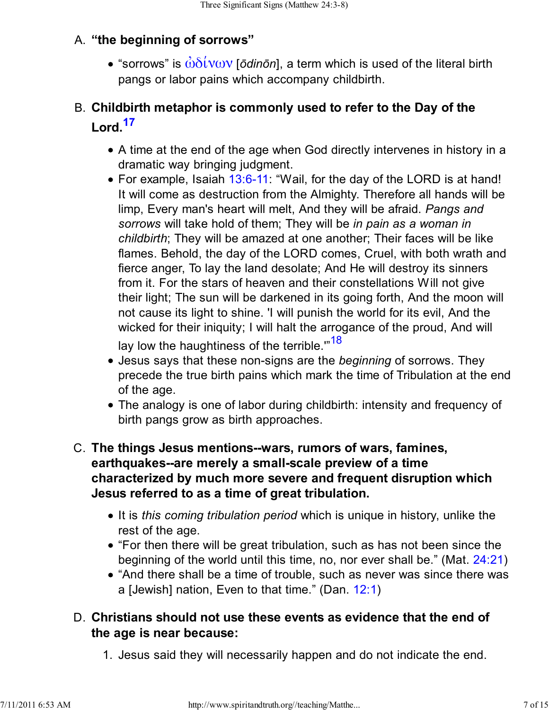# **"the beginning of sorrows"** A.

• "sorrows" is  $\dot{\omega}\delta\dot{\omega}\omega$ ν [*ōdinōn*], a term which is used of the literal birth pangs or labor pains which accompany childbirth.

# **Childbirth metaphor is commonly used to refer to the Day of the** B. **Lord.<sup>17</sup>**

- A time at the end of the age when God directly intervenes in history in a dramatic way bringing judgment.
- For example, Isaiah 13:6-11: "Wail, for the day of the LORD is at hand! It will come as destruction from the Almighty. Therefore all hands will be limp, Every man's heart will melt, And they will be afraid. *Pangs and sorrows* will take hold of them; They will be *in pain as a woman in childbirth*; They will be amazed at one another; Their faces will be like flames. Behold, the day of the LORD comes, Cruel, with both wrath and fierce anger, To lay the land desolate; And He will destroy its sinners from it. For the stars of heaven and their constellations Will not give their light; The sun will be darkened in its going forth, And the moon will not cause its light to shine. 'I will punish the world for its evil, And the wicked for their iniquity; I will halt the arrogance of the proud, And will lay low the haughtiness of the terrible."<sup>18</sup>
- Jesus says that these non-signs are the *beginning* of sorrows. They precede the true birth pains which mark the time of Tribulation at the end of the age.
- The analogy is one of labor during childbirth: intensity and frequency of birth pangs grow as birth approaches.

### **The things Jesus mentions--wars, rumors of wars, famines,** C. **earthquakes--are merely a small-scale preview of a time characterized by much more severe and frequent disruption which Jesus referred to as a time of great tribulation.**

- It is *this coming tribulation period* which is unique in history, unlike the rest of the age.
- "For then there will be great tribulation, such as has not been since the beginning of the world until this time, no, nor ever shall be." (Mat. 24:21)
- "And there shall be a time of trouble, such as never was since there was a [Jewish] nation, Even to that time." (Dan. 12:1)

## **Christians should not use these events as evidence that the end of** D. **the age is near because:**

1. Jesus said they will necessarily happen and do not indicate the end.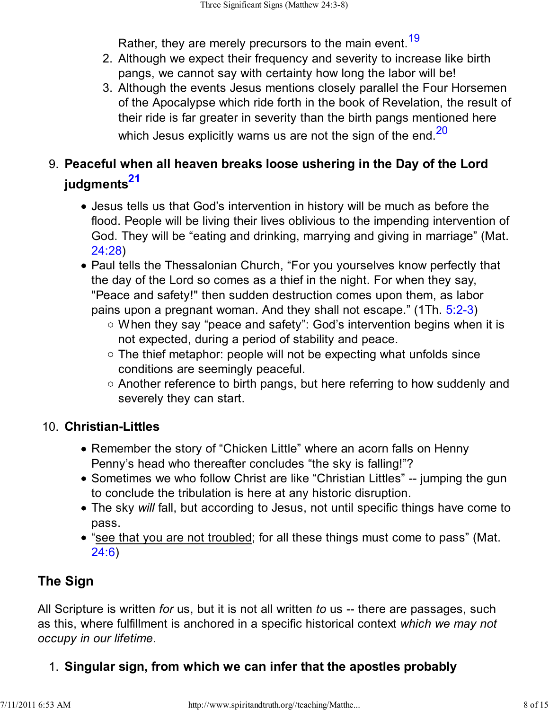Rather, they are merely precursors to the main event.<sup>19</sup>

- Although we expect their frequency and severity to increase like birth 2. pangs, we cannot say with certainty how long the labor will be!
- Although the events Jesus mentions closely parallel the Four Horsemen 3. of the Apocalypse which ride forth in the book of Revelation, the result of their ride is far greater in severity than the birth pangs mentioned here which Jesus explicitly warns us are not the sign of the end. $20$

# **Peaceful when all heaven breaks loose ushering in the Day of the Lord** 9. **judgments<sup>21</sup>**

- Jesus tells us that God's intervention in history will be much as before the flood. People will be living their lives oblivious to the impending intervention of God. They will be "eating and drinking, marrying and giving in marriage" (Mat. 24:28)
- Paul tells the Thessalonian Church, "For you yourselves know perfectly that the day of the Lord so comes as a thief in the night. For when they say, "Peace and safety!" then sudden destruction comes upon them, as labor pains upon a pregnant woman. And they shall not escape." (1Th. 5:2-3)
	- $\circ$  When they say "peace and safety": God's intervention begins when it is not expected, during a period of stability and peace.
	- $\circ$  The thief metaphor: people will not be expecting what unfolds since conditions are seemingly peaceful.
	- $\circ$  Another reference to birth pangs, but here referring to how suddenly and severely they can start.

### **Christian-Littles** 10.

- Remember the story of "Chicken Little" where an acorn falls on Henny Penny's head who thereafter concludes "the sky is falling!"?
- Sometimes we who follow Christ are like "Christian Littles" -- jumping the gun to conclude the tribulation is here at any historic disruption.
- The sky *will* fall, but according to Jesus, not until specific things have come to pass.
- "see that you are not troubled; for all these things must come to pass" (Mat. 24:6)

# **The Sign**

All Scripture is written *for* us, but it is not all written *to* us -- there are passages, such as this, where fulfillment is anchored in a specific historical context *which we may not occupy in our lifetime*.

# 1. **Singular sign, from which we can infer that the apostles probably**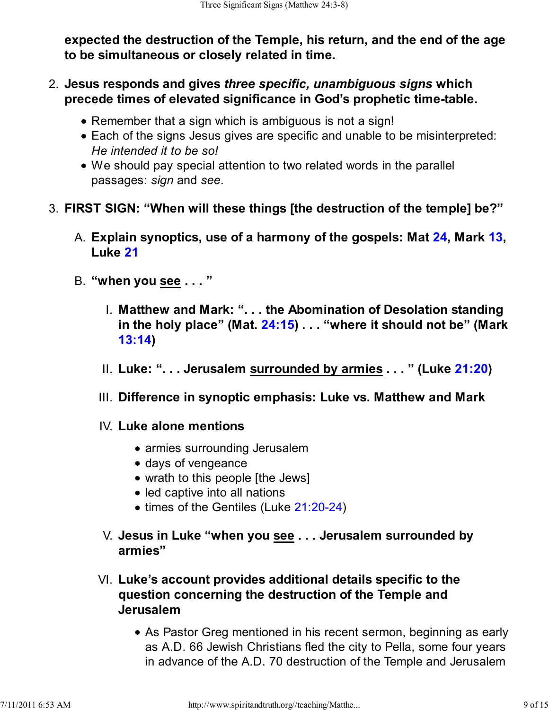**expected the destruction of the Temple, his return, and the end of the age to be simultaneous or closely related in time.**

- **Jesus responds and gives** *three specific, unambiguous signs* **which** 2. **precede times of elevated significance in God's prophetic time-table.**
	- Remember that a sign which is ambiguous is not a sign!
	- Each of the signs Jesus gives are specific and unable to be misinterpreted: *He intended it to be so!*
	- We should pay special attention to two related words in the parallel passages: *sign* and *see*.
- 3. **FIRST SIGN: "When will these things [the destruction of the temple] be?"**
	- **Explain synoptics, use of a harmony of the gospels: Mat 24, Mark 13,** A. **Luke 21**
	- B. **"when you see . . . "**
		- **Matthew and Mark: ". . . the Abomination of Desolation standing** I. **in the holy place" (Mat. 24:15) . . . "where it should not be" (Mark 13:14)**
		- II. **Luke: ". . . Jerusalem surrounded by armies . . . " (Luke 21:20)**
		- III. **Difference in synoptic emphasis: Luke vs. Matthew and Mark**
		- **Luke alone mentions** IV.
			- armies surrounding Jerusalem
			- days of vengeance
			- wrath to this people [the Jews]
			- led captive into all nations
			- times of the Gentiles (Luke 21:20-24)
		- **Jesus in Luke "when you see . . . Jerusalem surrounded by** V. **armies"**
		- **Luke's account provides additional details specific to the** VI. **question concerning the destruction of the Temple and Jerusalem**
			- As Pastor Greg mentioned in his recent sermon, beginning as early as A.D. 66 Jewish Christians fled the city to Pella, some four years in advance of the A.D. 70 destruction of the Temple and Jerusalem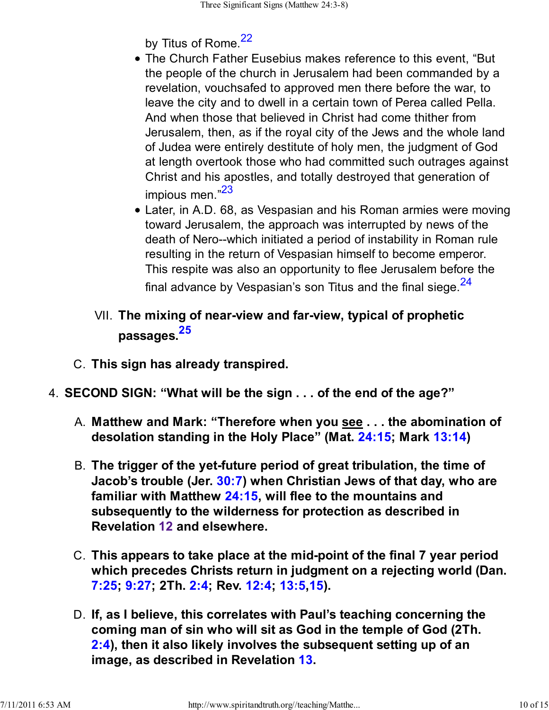by Titus of Rome.<sup>22</sup>

- The Church Father Eusebius makes reference to this event, "But the people of the church in Jerusalem had been commanded by a revelation, vouchsafed to approved men there before the war, to leave the city and to dwell in a certain town of Perea called Pella. And when those that believed in Christ had come thither from Jerusalem, then, as if the royal city of the Jews and the whole land of Judea were entirely destitute of holy men, the judgment of God at length overtook those who had committed such outrages against Christ and his apostles, and totally destroyed that generation of impious men.<sup>"23</sup>
- Later, in A.D. 68, as Vespasian and his Roman armies were moving toward Jerusalem, the approach was interrupted by news of the death of Nero--which initiated a period of instability in Roman rule resulting in the return of Vespasian himself to become emperor. This respite was also an opportunity to flee Jerusalem before the final advance by Vespasian's son Titus and the final siege. $24$
- **The mixing of near-view and far-view, typical of prophetic** VII. **passages.<sup>25</sup>**
- C. **This sign has already transpired.**
- 4. **SECOND SIGN: "What will be the sign . . . of the end of the age?"**
	- **Matthew and Mark: "Therefore when you see . . . the abomination of** A. **desolation standing in the Holy Place" (Mat. 24:15; Mark 13:14)**
	- **The trigger of the yet-future period of great tribulation, the time of** B. **Jacob's trouble (Jer. 30:7) when Christian Jews of that day, who are familiar with Matthew 24:15, will flee to the mountains and subsequently to the wilderness for protection as described in Revelation 12 and elsewhere.**
	- **This appears to take place at the mid-point of the final 7 year period** C. **which precedes Christs return in judgment on a rejecting world (Dan. 7:25; 9:27; 2Th. 2:4; Rev. 12:4; 13:5,15).**
	- **If, as I believe, this correlates with Paul's teaching concerning the** D. **coming man of sin who will sit as God in the temple of God (2Th. 2:4), then it also likely involves the subsequent setting up of an image, as described in Revelation 13.**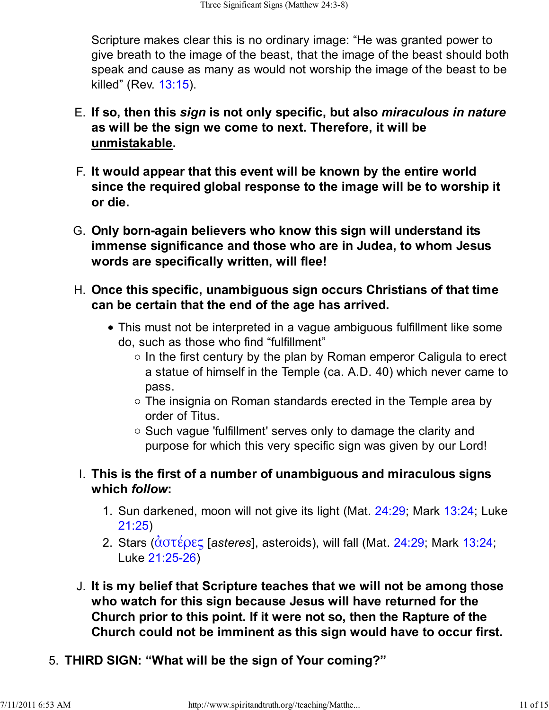Scripture makes clear this is no ordinary image: "He was granted power to give breath to the image of the beast, that the image of the beast should both speak and cause as many as would not worship the image of the beast to be killed" (Rev. 13:15).

- **If so, then this** *sign* **is not only specific, but also** *miraculous in nature* E. **as will be the sign we come to next. Therefore, it will be unmistakable.**
- **It would appear that this event will be known by the entire world** F. **since the required global response to the image will be to worship it or die.**
- **Only born-again believers who know this sign will understand its** G. **immense significance and those who are in Judea, to whom Jesus words are specifically written, will flee!**
- **Once this specific, unambiguous sign occurs Christians of that time** H. **can be certain that the end of the age has arrived.**
	- This must not be interpreted in a vague ambiguous fulfillment like some do, such as those who find "fulfillment"
		- $\circ$  In the first century by the plan by Roman emperor Caligula to erect a statue of himself in the Temple (ca. A.D. 40) which never came to pass.
		- $\circ$  The insignia on Roman standards erected in the Temple area by order of Titus.
		- Such vague 'fulfillment' serves only to damage the clarity and purpose for which this very specific sign was given by our Lord!
	- **This is the first of a number of unambiguous and miraculous signs** I. **which** *follow***:**
		- 1. Sun darkened, moon will not give its light (Mat. 24:29; Mark 13:24; Luke 21:25)
		- Stars (ἀστέρες [*asteres*], asteroids), will fall (Mat. 24:29; Mark 13:24; 2. Luke 21:25-26)
- **It is my belief that Scripture teaches that we will not be among those** J. **who watch for this sign because Jesus will have returned for the Church prior to this point. If it were not so, then the Rapture of the Church could not be imminent as this sign would have to occur first.**
- 5. **THIRD SIGN: "What will be the sign of Your coming?"**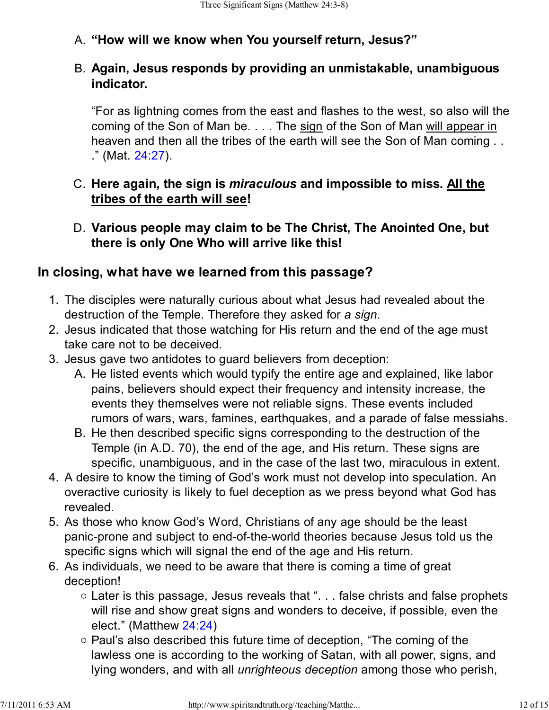# A. **"How will we know when You yourself return, Jesus?"**

#### **Again, Jesus responds by providing an unmistakable, unambiguous** B. **indicator.**

"For as lightning comes from the east and flashes to the west, so also will the coming of the Son of Man be. . . . The sign of the Son of Man will appear in heaven and then all the tribes of the earth will see the Son of Man coming . . ." (Mat. 24:27).

### **Here again, the sign is** *miraculous* **and impossible to miss. All the** C. **tribes of the earth will see!**

**Various people may claim to be The Christ, The Anointed One, but** D. **there is only One Who will arrive like this!**

### **In closing, what have we learned from this passage?**

- 1. The disciples were naturally curious about what Jesus had revealed about the destruction of the Temple. Therefore they asked for *a sign*.
- 2. Jesus indicated that those watching for His return and the end of the age must take care not to be deceived.
- 3. Jesus gave two antidotes to guard believers from deception:
	- A. He listed events which would typify the entire age and explained, like labor pains, believers should expect their frequency and intensity increase, the events they themselves were not reliable signs. These events included rumors of wars, wars, famines, earthquakes, and a parade of false messiahs.
	- B. He then described specific signs corresponding to the destruction of the Temple (in A.D. 70), the end of the age, and His return. These signs are specific, unambiguous, and in the case of the last two, miraculous in extent.
- A desire to know the timing of God's work must not develop into speculation. An 4. overactive curiosity is likely to fuel deception as we press beyond what God has revealed.
- 5. As those who know God's Word, Christians of any age should be the least panic-prone and subject to end-of-the-world theories because Jesus told us the specific signs which will signal the end of the age and His return.
- 6. As individuals, we need to be aware that there is coming a time of great deception!
	- Later is this passage, Jesus reveals that ". . . false christs and false prophets will rise and show great signs and wonders to deceive, if possible, even the elect." (Matthew 24:24)
	- $\circ$  Paul's also described this future time of deception, "The coming of the lawless one is according to the working of Satan, with all power, signs, and lying wonders, and with all *unrighteous deception* among those who perish,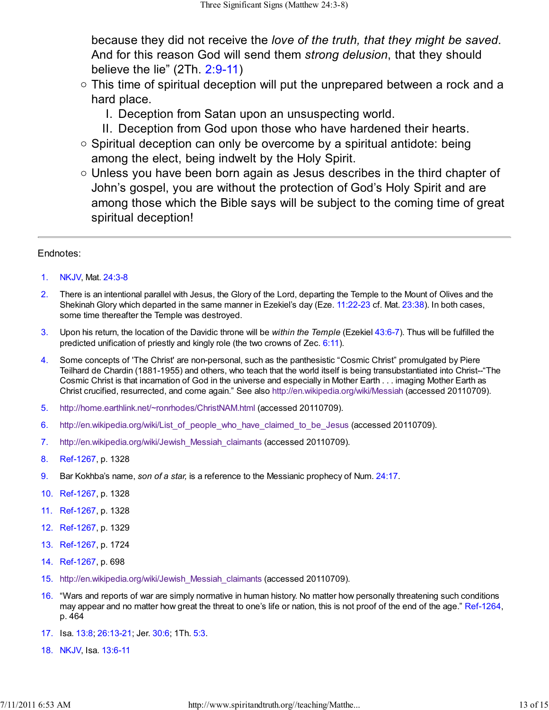because they did not receive the *love of the truth, that they might be saved*. And for this reason God will send them *strong delusion*, that they should believe the lie" (2Th. 2:9-11)

- $\circ$  This time of spiritual deception will put the unprepared between a rock and a hard place.
	- I. Deception from Satan upon an unsuspecting world.
	- II. Deception from God upon those who have hardened their hearts.
- $\circ$  Spiritual deception can only be overcome by a spiritual antidote: being among the elect, being indwelt by the Holy Spirit.
- $\circ$  Unless you have been born again as Jesus describes in the third chapter of John's gospel, you are without the protection of God's Holy Spirit and are among those which the Bible says will be subject to the coming time of great spiritual deception!

#### Endnotes:

- 1. NKJV, Mat. 24:3-8
- 2. There is an intentional parallel with Jesus, the Glory of the Lord, departing the Temple to the Mount of Olives and the Shekinah Glory which departed in the same manner in Ezekiel's day (Eze. 11:22-23 cf. Mat. 23:38). In both cases, some time thereafter the Temple was destroyed.
- 3. Upon his return, the location of the Davidic throne will be *within the Temple* (Ezekiel 43:6-7). Thus will be fulfilled the predicted unification of priestly and kingly role (the two crowns of Zec.  $6:11$ ).
- 4. Some concepts of 'The Christ' are non-personal, such as the panthesistic "Cosmic Christ" promulgated by Piere Teilhard de Chardin (1881-1955) and others, who teach that the world itself is being transubstantiated into Christ--"The Cosmic Christ is that incarnation of God in the universe and especially in Mother Earth . . . imaging Mother Earth as Christ crucified, resurrected, and come again." See also http://en.wikipedia.org/wiki/Messiah (accessed 20110709).
- 5. http://home.earthlink.net/~ronrhodes/ChristNAM.html (accessed 20110709).
- 6. http://en.wikipedia.org/wiki/List\_of\_people\_who\_have\_claimed\_to\_be\_Jesus (accessed 20110709).
- 7. http://en.wikipedia.org/wiki/Jewish\_Messiah\_claimants (accessed 20110709).
- 8. Ref-1267, p. 1328
- 9. Bar Kokhba's name, *son of a star,* is a reference to the Messianic prophecy of Num. 24:17.
- 10. Ref-1267, p. 1328
- 11. Ref-1267, p. 1328
- 12. Ref-1267, p. 1329
- 13. Ref-1267, p. 1724
- 14. Ref-1267, p. 698
- 15. http://en.wikipedia.org/wiki/Jewish\_Messiah\_claimants (accessed 20110709).
- 16. "Wars and reports of war are simply normative in human history. No matter how personally threatening such conditions may appear and no matter how great the threat to one's life or nation, this is not proof of the end of the age." Ref-1264, p. 464
- 17. Isa. 13:8; 26:13-21; Jer. 30:6; 1Th. 5:3.
- 18. NKJV, Isa. 13:6-11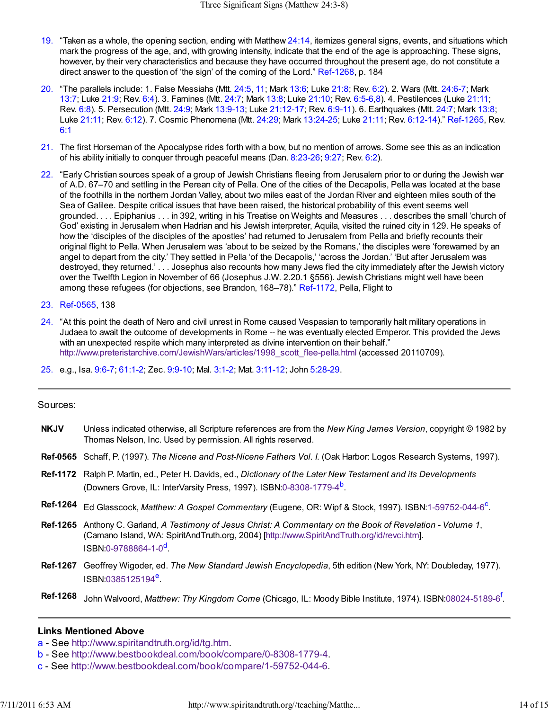- 19. "Taken as a whole, the opening section, ending with Matthew 24:14, itemizes general signs, events, and situations which mark the progress of the age, and, with growing intensity, indicate that the end of the age is approaching. These signs, however, by their very characteristics and because they have occurred throughout the present age, do not constitute a direct answer to the question of 'the sign' of the coming of the Lord." Ref-1268, p. 184
- 20. "The parallels include: 1. False Messiahs (Mtt. 24:5, 11; Mark 13:6; Luke 21:8; Rev. 6:2). 2. Wars (Mtt. 24:6-7; Mark 13:7; Luke 21:9; Rev. 6:4). 3. Famines (Mtt. 24:7; Mark 13:8; Luke 21:10; Rev. 6:5-6,8). 4. Pestilences (Luke 21:11; Rev. 6:8). 5. Persecution (Mtt. 24:9; Mark 13:9-13; Luke 21:12-17; Rev. 6:9-11). 6. Earthquakes (Mtt. 24:7; Mark 13:8; Luke 21:11; Rev. 6:12). 7. Cosmic Phenomena (Mtt. 24:29; Mark 13:24-25; Luke 21:11; Rev. 6:12-14)." Ref-1265, Rev. 6:1
- 21. The first Horseman of the Apocalypse rides forth with a bow, but no mention of arrows. Some see this as an indication of his ability initially to conquer through peaceful means (Dan. 8:23-26; 9:27; Rev. 6:2).
- 22. "Early Christian sources speak of a group of Jewish Christians fleeing from Jerusalem prior to or during the Jewish war of A.D. 67–70 and settling in the Perean city of Pella. One of the cities of the Decapolis, Pella was located at the base of the foothills in the northern Jordan Valley, about two miles east of the Jordan River and eighteen miles south of the Sea of Galilee. Despite critical issues that have been raised, the historical probability of this event seems well grounded. . . . Epiphanius . . . in 392, writing in his Treatise on Weights and Measures . . . describes the small 'church of God' existing in Jerusalem when Hadrian and his Jewish interpreter, Aquila, visited the ruined city in 129. He speaks of how the 'disciples of the disciples of the apostles' had returned to Jerusalem from Pella and briefly recounts their original flight to Pella. When Jerusalem was 'about to be seized by the Romans,' the disciples were 'forewarned by an angel to depart from the city.' They settled in Pella 'of the Decapolis,' 'across the Jordan.' 'But after Jerusalem was destroyed, they returned.' . . . Josephus also recounts how many Jews fled the city immediately after the Jewish victory over the Twelfth Legion in November of 66 (Josephus J.W. 2.20.1 §556). Jewish Christians might well have been among these refugees (for objections, see Brandon, 168–78)." Ref-1172, Pella, Flight to
- 23. Ref-0565, 138
- 24. "At this point the death of Nero and civil unrest in Rome caused Vespasian to temporarily halt military operations in Judaea to await the outcome of developments in Rome -- he was eventually elected Emperor. This provided the Jews with an unexpected respite which many interpreted as divine intervention on their behalf." http://www.preteristarchive.com/JewishWars/articles/1998\_scott\_flee-pella.html (accessed 20110709).
- 25. e.g., Isa. 9:6-7; 61:1-2; Zec. 9:9-10; Mal. 3:1-2; Mat. 3:11-12; John 5:28-29.

#### Sources:

- **NKJV** Unless indicated otherwise, all Scripture references are from the *New King James Version*, copyright © 1982 by Thomas Nelson, Inc. Used by permission. All rights reserved.
- **Ref-0565** Schaff, P. (1997). *The Nicene and Post-Nicene Fathers Vol. I.* (Oak Harbor: Logos Research Systems, 1997).
- **Ref-1172** Ralph P. Martin, ed., Peter H. Davids, ed., *Dictionary of the Later New Testament and its Developments* (Downers Grove, IL: InterVarsity Press, 1997). ISBN:0-8308-1779-4<sup>b</sup>.
- Ref-1264 Ed Glasscock, Matthew: A Gospel Commentary (Eugene, OR: Wipf & Stock, 1997). ISBN:1-59752-044-6<sup>c</sup>.
- **Ref-1265** Anthony C. Garland, *A Testimony of Jesus Christ: A Commentary on the Book of Revelation Volume 1*, (Camano Island, WA: SpiritAndTruth.org, 2004) [http://www.SpiritAndTruth.org/id/revci.htm]. ISBN:0-9788864-1-0<sup>d</sup>.
- **Ref-1267** Geoffrey Wigoder, ed. *The New Standard Jewish Encyclopedia*, 5th edition (New York, NY: Doubleday, 1977). ISBN:0385125194<sup>e</sup>.
- **Ref-1268** John Walvoord, *Matthew: Thy Kingdom Come* (Chicago, IL: Moody Bible Institute, 1974). ISBN:08024-5189-6<sup>f</sup> .

#### **Links Mentioned Above**

- a See http://www.spiritandtruth.org/id/tg.htm.
- b See http://www.bestbookdeal.com/book/compare/0-8308-1779-4.
- c See http://www.bestbookdeal.com/book/compare/1-59752-044-6.